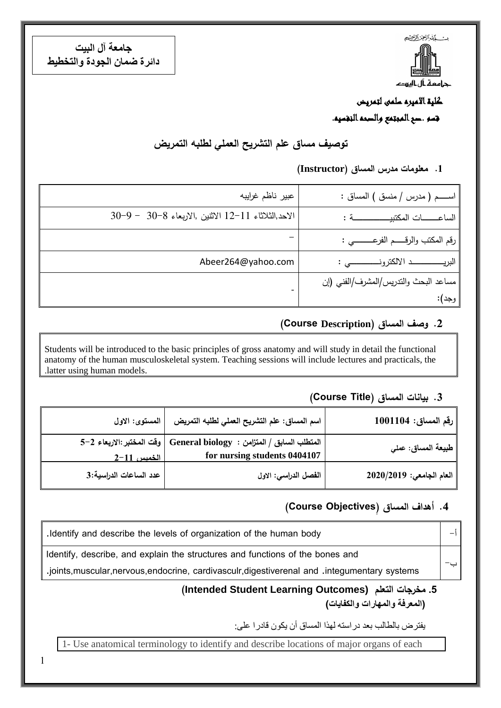بست كمشرالجز الأخج جامعة أل اليهد

**جامعة آل البيت دائرة ضمان الجودة والتخطيط**

# كلية االميره سلمى لتمريض قسم .صح المجتمع والصحه النفسيه.

**توصيف مساق علم التشريح العملي لطلبه التمريض**

**.1 معلومات مدرس المساق )Instructor)**

| عبير ناظم غرايبه                                                    | اســــم ( مدرس / منسق ) المساق :          |
|---------------------------------------------------------------------|-------------------------------------------|
| 30-9 – 30-8 الانتين ,الاربعاء 8-30 – 9-30 $12-11$ الانتين ,الاربعاء | الساعـــات المكتبيـــــــــــة :          |
|                                                                     | رقم المكتب والرقـــــم الفرعــــــــــي : |
| Abeer264@yahoo.com                                                  |                                           |
|                                                                     | مساعد البحث والندريس/المشرف/الفني (إن     |
|                                                                     | وجد):                                     |

#### **.2 وصف المساق )Description Course(**

Students will be introduced to the basic principles of gross anatomy and will study in detail the functional anatomy of the human musculoskeletal system. Teaching sessions will include lectures and practicals, the .latter using human models.

#### **.3 بيانات المساق )Title Course)**

| رقم المساق: 1001104                     | اسم المساق: علم التشريح العملي لطلبه التمريض                                                             | المستوى: الاول         |
|-----------------------------------------|----------------------------------------------------------------------------------------------------------|------------------------|
| <sub>ا</sub> طبيعة المساق: عمل <i>ى</i> | المتطلب السابق / المتزامن : General biology   وفّت المختبر :الاربعاء 2-5<br>for nursing students 0404107 | الخميس 11–2            |
| العام الجامعى: 2020/2019                | الفصل الدراسي: الاول                                                                                     | عدد الساعات الدراسية:3 |

### **.4 أهداف المساق )ِObjectives Course)**

| Identify and describe the levels of organization of the human body                              |  |
|-------------------------------------------------------------------------------------------------|--|
| Identify, describe, and explain the structures and functions of the bones and                   |  |
| .joints, muscular, nervous, endocrine, cardivasculr, digestiverenal and . integumentary systems |  |

#### **(Intended Student Learning Outcomes) التعلم مخرجات .5 )المعرفة والمهارات والكفايات(**

يفترض بالطالب بعد دراسته لهذا المساق أن يكون قادرا على:

1- Use anatomical terminology to identify and describe locations of major organs of each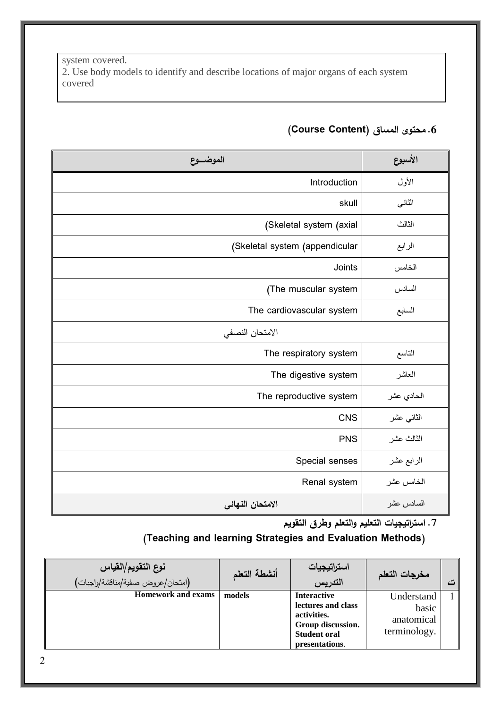system covered. 2. Use body models to identify and describe locations of major organs of each system covered

| الموضـــوع                     | الأسبوع    |
|--------------------------------|------------|
| Introduction                   | الأول      |
| skull                          | الثاني     |
| (Skeletal system (axial        | الثالث     |
| (Skeletal system (appendicular | الرابع     |
| Joints                         | الخامس     |
| (The muscular system           | السادس     |
| The cardiovascular system      | السابع     |
| الامتحان النصفى                |            |
| The respiratory system         | التاسع     |
| The digestive system           | العاشر     |
| The reproductive system        | الحادي عشر |
| <b>CNS</b>                     | الثاني عشر |
| <b>PNS</b>                     | الثالث عشر |
| Special senses                 | الرابع عشر |
| Renal system                   | الخامس عشر |
| الامتحان النهائي               | السادس عشر |

## **.6 محتوى المساق )Content Course)**

**.7 استراتيجيات التعليم والتعلم وطرق التقويم**

### **)Teaching and learning Strategies and Evaluation Methods(**

| نوع التقويم/القياس<br>(امتحان/عروض صفية/مناقشة/واجبات) | أنشطة التعلم | استراتيجيات<br>التدريس                                                                                                | مخرجات التعلم                                     |  |
|--------------------------------------------------------|--------------|-----------------------------------------------------------------------------------------------------------------------|---------------------------------------------------|--|
| <b>Homework and exams</b>                              | models       | <b>Interactive</b><br>lectures and class<br>activities.<br>Group discussion.<br><b>Student oral</b><br>presentations. | Understand<br>basic<br>anatomical<br>terminology. |  |